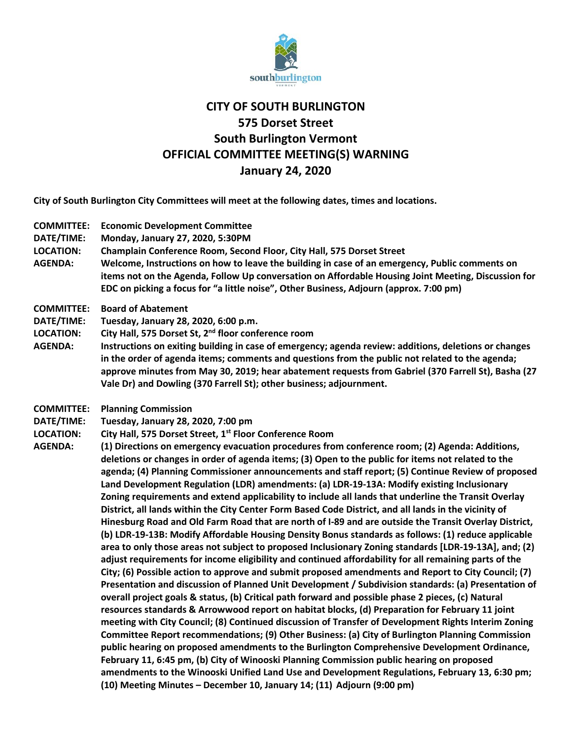

## **CITY OF SOUTH BURLINGTON 575 Dorset Street South Burlington Vermont OFFICIAL COMMITTEE MEETING(S) WARNING January 24, 2020**

**City of South Burlington City Committees will meet at the following dates, times and locations.** 

- **COMMITTEE: Economic Development Committee**
- **DATE/TIME: Monday, January 27, 2020, 5:30PM**
- **LOCATION: Champlain Conference Room, Second Floor, City Hall, 575 Dorset Street**
- **AGENDA: Welcome, Instructions on how to leave the building in case of an emergency, Public comments on items not on the Agenda, Follow Up conversation on Affordable Housing Joint Meeting, Discussion for EDC on picking a focus for "a little noise", Other Business, Adjourn (approx. 7:00 pm)**
- **COMMITTEE: Board of Abatement**
- **DATE/TIME: Tuesday, January 28, 2020, 6:00 p.m.**
- **LOCATION: City Hall, 575 Dorset St, 2nd floor conference room**
- **AGENDA: Instructions on exiting building in case of emergency; agenda review: additions, deletions or changes in the order of agenda items; comments and questions from the public not related to the agenda; approve minutes from May 30, 2019; hear abatement requests from Gabriel (370 Farrell St), Basha (27 Vale Dr) and Dowling (370 Farrell St); other business; adjournment.**
- **COMMITTEE: Planning Commission**
- **DATE/TIME: Tuesday, January 28, 2020, 7:00 pm**
- LOCATION: City Hall, 575 Dorset Street, 1<sup>st</sup> Floor Conference Room
- **AGENDA: (1) Directions on emergency evacuation procedures from conference room; (2) Agenda: Additions, deletions or changes in order of agenda items; (3) Open to the public for items not related to the agenda; (4) Planning Commissioner announcements and staff report; (5) Continue Review of proposed Land Development Regulation (LDR) amendments: (a) LDR-19-13A: Modify existing Inclusionary Zoning requirements and extend applicability to include all lands that underline the Transit Overlay District, all lands within the City Center Form Based Code District, and all lands in the vicinity of Hinesburg Road and Old Farm Road that are north of I-89 and are outside the Transit Overlay District, (b) LDR-19-13B: Modify Affordable Housing Density Bonus standards as follows: (1) reduce applicable area to only those areas not subject to proposed Inclusionary Zoning standards [LDR-19-13A], and; (2) adjust requirements for income eligibility and continued affordability for all remaining parts of the City; (6) Possible action to approve and submit proposed amendments and Report to City Council; (7) Presentation and discussion of Planned Unit Development / Subdivision standards: (a) Presentation of overall project goals & status, (b) Critical path forward and possible phase 2 pieces, (c) Natural resources standards & Arrowwood report on habitat blocks, (d) Preparation for February 11 joint meeting with City Council; (8) Continued discussion of Transfer of Development Rights Interim Zoning Committee Report recommendations; (9) Other Business: (a) City of Burlington Planning Commission public hearing on proposed amendments to the Burlington Comprehensive Development Ordinance, February 11, 6:45 pm, (b) City of Winooski Planning Commission public hearing on proposed amendments to the Winooski Unified Land Use and Development Regulations, February 13, 6:30 pm; (10) Meeting Minutes – December 10, January 14; (11) Adjourn (9:00 pm)**